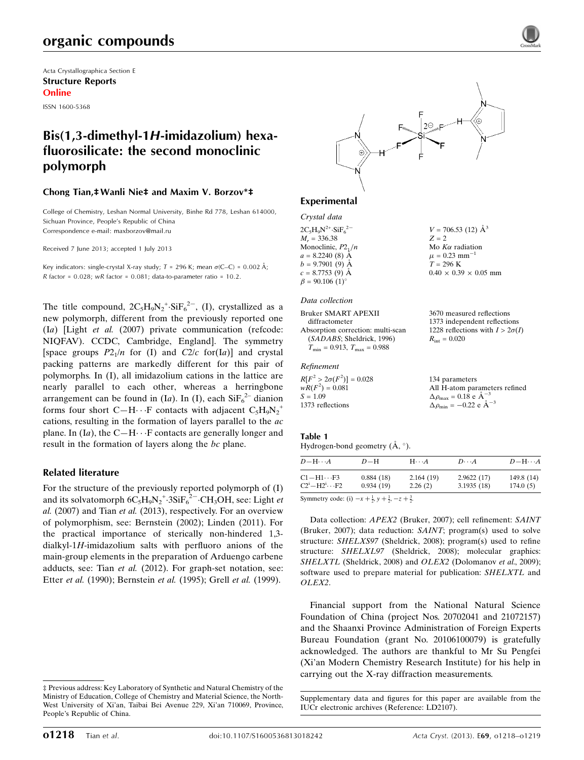## organic compounds

Acta Crystallographica Section E Structure Reports Online

ISSN 1600-5368

## Bis(1,3-dimethyl-1H-imidazolium) hexafluorosilicate: the second monoclinic polymorph

#### Chong Tian,‡Wanli Nie‡ and Maxim V. Borzov\*‡

College of Chemistry, Leshan Normal University, Binhe Rd 778, Leshan 614000, Sichuan Province, People's Republic of China Correspondence e-mail: [maxborzov@mail.ru](https://scripts.iucr.org/cgi-bin/cr.cgi?rm=pdfbb&cnor=ld2107&bbid=BB12)

Received 7 June 2013; accepted 1 July 2013

Key indicators: single-crystal X-ray study;  $T = 296$  K; mean  $\sigma$ (C–C) = 0.002 Å; R factor =  $0.028$ ; wR factor =  $0.081$ ; data-to-parameter ratio =  $10.2$ .

The title compound,  $2C_5H_9N_2$ <sup>+</sup> $\cdot$ SiF<sub>6</sub><sup>2-</sup>, (I), crystallized as a new polymorph, different from the previously reported one (Ia) [Light et al. (2007) private communication (refcode: NIQFAV). CCDC, Cambridge, England]. The symmetry [space groups  $P2_1/n$  for (I) and  $C2/c$  for(Ia)] and crystal packing patterns are markedly different for this pair of polymorphs. In (I), all imidazolium cations in the lattice are nearly parallel to each other, whereas a herringbone arrangement can be found in (Ia). In (I), each  $\text{SiF}_6^{2-}$  dianion forms four short C-H $\cdots$ F contacts with adjacent C<sub>5</sub>H<sub>9</sub>N<sub>2</sub><sup>+</sup> cations, resulting in the formation of layers parallel to the ac plane. In  $(Ia)$ , the  $C-H \cdots F$  contacts are generally longer and result in the formation of layers along the bc plane.

### Related literature

For the structure of the previously reported polymorph of (I) and its solvatomorph  $6C_5H_9N_2$ <sup>+</sup> $3SiF_6^{2-}$  $CH_3OH$ , see: Light *et* al. (2007) and Tian et al. (2013), respectively. For an overview of polymorphism, see: Bernstein (2002); Linden (2011). For the practical importance of sterically non-hindered 1,3 dialkyl-1H-imidazolium salts with perfluoro anions of the main-group elements in the preparation of Arduengo carbene adducts, see: Tian et al. (2012). For graph-set notation, see: Etter et al. (1990); Bernstein et al. (1995); Grell et al. (1999).



 $V = 706.53$  (12)  $\AA^3$ 

 $0.40 \times 0.39 \times 0.05$  mm

3670 measured reflections 1373 independent reflections 1228 reflections with  $I > 2\sigma(I)$ 

 $R_{\text{int}} = 0.020$ 

 $Z = 2$ Mo  $K\alpha$  radiation  $\mu = 0.23$  mm<sup>-1</sup>  $T = 296$  K

## Experimental

#### Crystal data  $2C_5H_9N^{2+}\cdot SiF_6^{2-}$  $M_r = 336.38$ Monoclinic,  $P2_1/n$  $a = 8.2240(8)$  Å  $b = 9.7901(9)$  Å  $c = 8.7753(9)$  Å

#### Data collection

 $\beta = 90.106$  (1)<sup>o</sup>

Bruker SMART APEXII diffractometer Absorption correction: multi-scan (SADABS; Sheldrick, 1996)

## $T_{\rm min} = 0.913,\ T_{\rm max} = 0.988$

#### Refinement

| $R[F^2 > 2\sigma(F^2)] = 0.028$ | 134 parameters                                        |
|---------------------------------|-------------------------------------------------------|
| $wR(F^2) = 0.081$               | All H-atom parameters refined                         |
| $S = 1.09$                      | $\Delta \rho_{\text{max}} = 0.18$ e $\text{\AA}^{-3}$ |
| 1373 reflections                | $\Delta \rho_{\rm min} = -0.22$ e $\rm \AA^{-3}$      |

#### Table 1

Hydrogen-bond geometry  $(\AA, \degree)$ .

| $D-H$                  | $H \cdot \cdot \cdot A$ | $D\cdots A$              | $D - H \cdots A$       |
|------------------------|-------------------------|--------------------------|------------------------|
| 0.884(18)<br>0.934(19) | 2.164(19)<br>2.26(2)    | 2.9622(17)<br>3.1935(18) | 149.8 (14)<br>174.0(5) |
|                        |                         |                          |                        |

Symmetry code: (i)  $-x + \frac{1}{2}$ ,  $y + \frac{1}{2}$ ,  $-z + \frac{3}{2}$ .

Data collection: APEX2 (Bruker, 2007); cell refinement: SAINT (Bruker, 2007); data reduction: SAINT; program(s) used to solve structure: SHELXS97 (Sheldrick, 2008); program(s) used to refine structure: SHELXL97 (Sheldrick, 2008); molecular graphics: SHELXTL (Sheldrick, 2008) and OLEX2 (Dolomanov et al., 2009); software used to prepare material for publication: SHELXTL and OLEX2.

Financial support from the National Natural Science Foundation of China (project Nos. 20702041 and 21072157) and the Shaanxi Province Administration of Foreign Experts Bureau Foundation (grant No. 20106100079) is gratefully acknowledged. The authors are thankful to Mr Su Pengfei (Xi'an Modern Chemistry Research Institute) for his help in carrying out the X-ray diffraction measurements.

<sup>‡</sup> Previous address: Key Laboratory of Synthetic and Natural Chemistry of the Ministry of Education, College of Chemistry and Material Science, the North-West University of Xi'an, Taibai Bei Avenue 229, Xi'an 710069, Province, People's Republic of China.

Supplementary data and figures for this paper are available from the IUCr electronic archives (Reference: LD2107).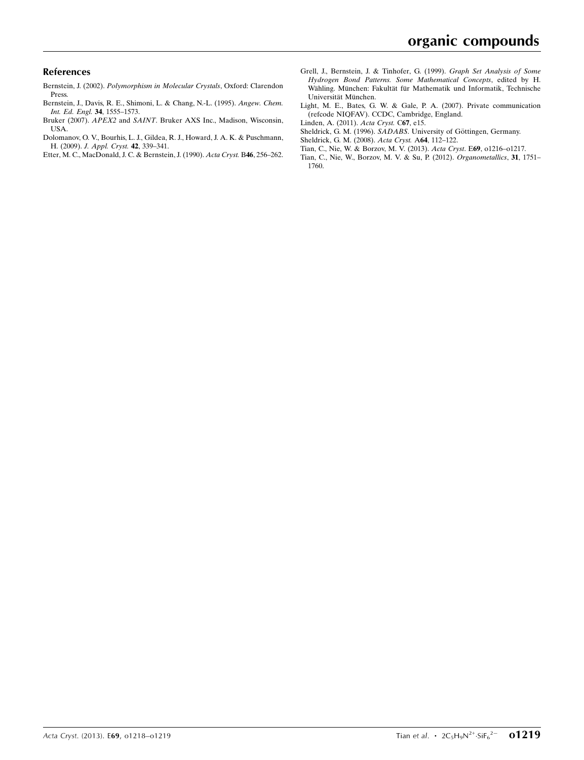### References

- Bernstein, J. (2002). [Polymorphism in Molecular Crystals](https://scripts.iucr.org/cgi-bin/cr.cgi?rm=pdfbb&cnor=ld2107&bbid=BB1), Oxford: Clarendon [Press.](https://scripts.iucr.org/cgi-bin/cr.cgi?rm=pdfbb&cnor=ld2107&bbid=BB1)
- [Bernstein, J., Davis, R. E., Shimoni, L. & Chang, N.-L. \(1995\).](https://scripts.iucr.org/cgi-bin/cr.cgi?rm=pdfbb&cnor=ld2107&bbid=BB2) Angew. Chem. [Int. Ed. Engl.](https://scripts.iucr.org/cgi-bin/cr.cgi?rm=pdfbb&cnor=ld2107&bbid=BB2) 34, 1555–1573.
- Bruker (2007). APEX2 and SAINT[. Bruker AXS Inc., Madison, Wisconsin,](https://scripts.iucr.org/cgi-bin/cr.cgi?rm=pdfbb&cnor=ld2107&bbid=BB3) [USA.](https://scripts.iucr.org/cgi-bin/cr.cgi?rm=pdfbb&cnor=ld2107&bbid=BB3)
- [Dolomanov, O. V., Bourhis, L. J., Gildea, R. J., Howard, J. A. K. & Puschmann,](https://scripts.iucr.org/cgi-bin/cr.cgi?rm=pdfbb&cnor=ld2107&bbid=BB4) H. (2009). [J. Appl. Cryst.](https://scripts.iucr.org/cgi-bin/cr.cgi?rm=pdfbb&cnor=ld2107&bbid=BB4) 42, 339–341.
- [Etter, M. C., MacDonald, J. C. & Bernstein, J. \(1990\).](https://scripts.iucr.org/cgi-bin/cr.cgi?rm=pdfbb&cnor=ld2107&bbid=BB5) Acta Cryst. B46, 256–262.
- [Grell, J., Bernstein, J. & Tinhofer, G. \(1999\).](https://scripts.iucr.org/cgi-bin/cr.cgi?rm=pdfbb&cnor=ld2107&bbid=BB6) Graph Set Analysis of Some [Hydrogen Bond Patterns. Some Mathematical Concepts](https://scripts.iucr.org/cgi-bin/cr.cgi?rm=pdfbb&cnor=ld2107&bbid=BB6), edited by H. Wähling. München: Fakultät für Mathematik und Informatik, Technische Universität München.
- [Light, M. E., Bates, G. W. & Gale, P. A. \(2007\). Private communication](https://scripts.iucr.org/cgi-bin/cr.cgi?rm=pdfbb&cnor=ld2107&bbid=BB7) [\(refcode NIQFAV\). CCDC, Cambridge, England.](https://scripts.iucr.org/cgi-bin/cr.cgi?rm=pdfbb&cnor=ld2107&bbid=BB7)
- [Linden, A. \(2011\).](https://scripts.iucr.org/cgi-bin/cr.cgi?rm=pdfbb&cnor=ld2107&bbid=BB8) Acta Cryst. C67, e15.
- Sheldrick, G. M. (1996). SADABS. University of Göttingen, Germany.
- [Sheldrick, G. M. \(2008\).](https://scripts.iucr.org/cgi-bin/cr.cgi?rm=pdfbb&cnor=ld2107&bbid=BB10) Acta Cryst. A64, 112–122.
- [Tian, C., Nie, W. & Borzov, M. V. \(2013\).](https://scripts.iucr.org/cgi-bin/cr.cgi?rm=pdfbb&cnor=ld2107&bbid=BB11) Acta Cryst. E69, o1216–o1217.
- [Tian, C., Nie, W., Borzov, M. V. & Su, P. \(2012\).](https://scripts.iucr.org/cgi-bin/cr.cgi?rm=pdfbb&cnor=ld2107&bbid=BB12) Organometallics, 31, 1751– [1760.](https://scripts.iucr.org/cgi-bin/cr.cgi?rm=pdfbb&cnor=ld2107&bbid=BB12)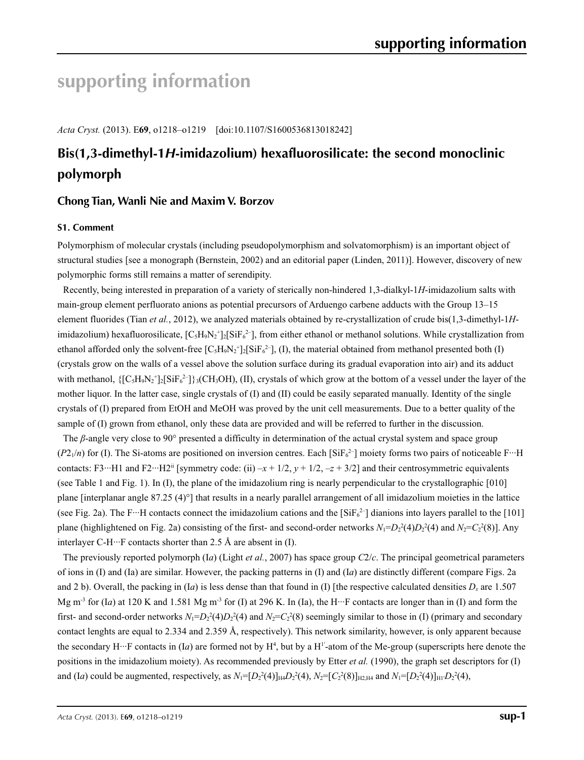# **supporting information**

*Acta Cryst.* (2013). E**69**, o1218–o1219 [doi:10.1107/S1600536813018242]

## **Bis(1,3-dimethyl-1***H***-imidazolium) hexafluorosilicate: the second monoclinic polymorph**

## **Chong Tian, Wanli Nie and Maxim V. Borzov**

## **S1. Comment**

Polymorphism of molecular crystals (including pseudopolymorphism and solvatomorphism) is an important object of structural studies [see a monograph (Bernstein, 2002) and an editorial paper (Linden, 2011)]. However, discovery of new polymorphic forms still remains a matter of serendipity.

Recently, being interested in preparation of a variety of sterically non-hindered 1,3-dialkyl-1*H*-imidazolium salts with main-group element perfluorato anions as potential precursors of Arduengo carbene adducts with the Group 13–15 element fluorides (Tian *et al.*, 2012), we analyzed materials obtained by re-crystallization of crude bis(1,3-dimethyl-1*H*imidazolium) hexafluorosilicate,  $[C_5H_9N_2^+]_2[SiF_6^2]$ , from either ethanol or methanol solutions. While crystallization from ethanol afforded only the solvent-free  $[C_5H_9N_2^+]_2[SiF_6^2]$ , (I), the material obtained from methanol presented both (I) (crystals grow on the walls of a vessel above the solution surface during its gradual evaporation into air) and its adduct with methanol,  $\{[C_5H_9N_2^+]_2[SiF_6^2]\}$ ; (CH<sub>3</sub>OH), (II), crystals of which grow at the bottom of a vessel under the layer of the mother liquor. In the latter case, single crystals of (I) and (II) could be easily separated manually. Identity of the single crystals of (I) prepared from EtOH and MeOH was proved by the unit cell measurements. Due to a better quality of the sample of (I) grown from ethanol, only these data are provided and will be referred to further in the discussion.

The *β*-angle very close to 90° presented a difficulty in determination of the actual crystal system and space group  $(P2_1/n)$  for (I). The Si-atoms are positioned on inversion centres. Each [SiF<sub>6</sub><sup>2-</sup>] moiety forms two pairs of noticeable F<sup>11</sup>H contacts: F3···H1 and F2···H2<sup>ii</sup> [symmetry code: (ii)  $-x + 1/2$ ,  $y + 1/2$ ,  $-z + 3/2$ ] and their centrosymmetric equivalents (see Table 1 and Fig. 1). In (I), the plane of the imidazolium ring is nearly perpendicular to the crystallographic [010] plane [interplanar angle 87.25 (4)°] that results in a nearly parallel arrangement of all imidazolium moieties in the lattice (see Fig. 2a). The F…H contacts connect the imidazolium cations and the  $[SiFe^{2-}]$  dianions into layers parallel to the [101] plane (highlightened on Fig. 2a) consisting of the first- and second-order networks  $N_1 = D_2^2(4)D_2^2(4)$  and  $N_2 = C_2^2(8)$ . Any interlayer C-H $\cdots$ F contacts shorter than 2.5 Å are absent in (I).

The previously reported polymorph (I*a*) (Light *et al.*, 2007) has space group *C*2/*c*. The principal geometrical parameters of ions in (I) and (Ia) are similar. However, the packing patterns in (I) and (I*a*) are distinctly different (compare Figs. 2a and 2 b). Overall, the packing in (I*a*) is less dense than that found in (I) [the respective calculated densities  $D_x$  are 1.507 Mg m<sup>-3</sup> for (I*a*) at 120 K and 1.581 Mg m<sup>-3</sup> for (I) at 296 K. In (Ia), the H···F contacts are longer than in (I) and form the first- and second-order networks  $N_1 = D_2^2(4)D_2^2(4)$  and  $N_2 = C_2^2(8)$  seemingly similar to those in (I) (primary and secondary contact lenghts are equal to 2.334 and 2.359 Å, respectively). This network similarity, however, is only apparent because the secondary  $H \cdots F$  contacts in (I*a*) are formed not by  $H^4$ , but by a  $H'$ -atom of the Me-group (superscripts here denote the positions in the imidazolium moiety). As recommended previously by Etter *et al.* (1990), the graph set descriptors for (I) and (I*a*) could be augmented, respectively, as  $N_1 = [D_2^2(4)]_{H_1}D_2^2(4)$ ,  $N_2 = [C_2^2(8)]_{H_2,H_4}$  and  $N_1 = [D_2^2(4)]_{H_1}D_2^2(4)$ ,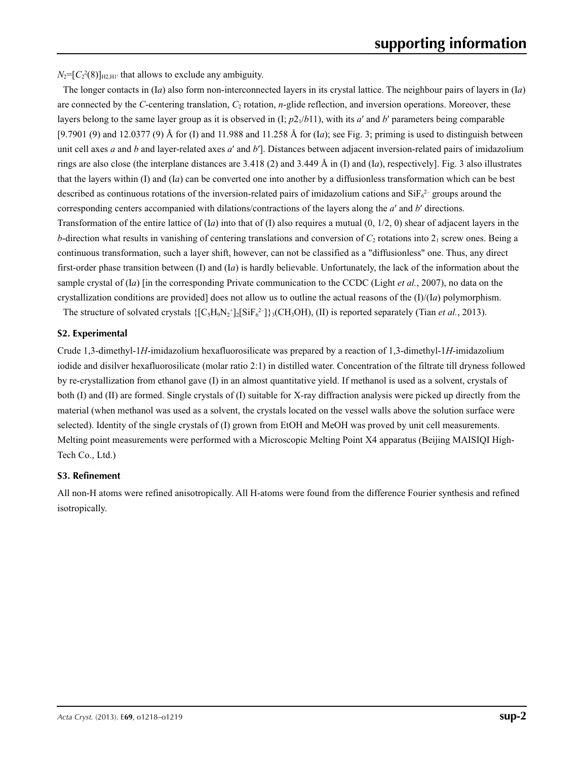$N_2 = [C_2^2(8)]_{H2,H1'}$  that allows to exclude any ambiguity.

The longer contacts in (I*a*) also form non-interconnected layers in its crystal lattice. The neighbour pairs of layers in (I*a*) are connected by the *C*-centering translation, *C<sub>2</sub>* rotation, *n*-glide reflection, and inversion operations. Moreover, these layers belong to the same layer group as it is observed in  $(I; p21/b11)$ , with its *a'* and *b'* parameters being comparable [9.7901 (9) and 12.0377 (9) Å for (I) and 11.988 and 11.258 Å for (I*a*); see Fig. 3; priming is used to distinguish between unit cell axes *a* and *b* and layer-related axes *a*′ and *b*′]. Distances between adjacent inversion-related pairs of imidazolium rings are also close (the interplane distances are 3.418 (2) and 3.449 Å in (I) and (I*a*), respectively]. Fig. 3 also illustrates that the layers within (I) and (I*a*) can be converted one into another by a diffusionless transformation which can be best described as continuous rotations of the inversion-related pairs of imidazolium cations and  $\text{SiF}_6^2$  groups around the corresponding centers accompanied with dilations/contractions of the layers along the *a*′ and *b*′ directions. Transformation of the entire lattice of  $(Ia)$  into that of  $(I)$  also requires a mutual  $(0, 1/2, 0)$  shear of adjacent layers in the *b*-direction what results in vanishing of centering translations and conversion of  $C_2$  rotations into  $2_1$  screw ones. Being a continuous transformation, such a layer shift, however, can not be classified as a "diffusionless" one. Thus, any direct first-order phase transition between (I) and (I*a*) is hardly believable. Unfortunately, the lack of the information about the sample crystal of (I*a*) [in the corresponding Private communication to the CCDC (Light *et al.*, 2007), no data on the crystallization conditions are provided] does not allow us to outline the actual reasons of the (I)/(I*a*) polymorphism.

The structure of solvated crystals  $\{[C_5H_9N_2^+]_2[SiF_6^2]\}$ <sub>3</sub>(CH<sub>3</sub>OH), (II) is reported separately (Tian *et al.*, 2013).

## **S2. Experimental**

Crude 1,3-dimethyl-1*H*-imidazolium hexafluorosilicate was prepared by a reaction of 1,3-dimethyl-1*H*-imidazolium iodide and disilver hexafluorosilicate (molar ratio 2:1) in distilled water. Concentration of the filtrate till dryness followed by re-crystallization from ethanol gave (I) in an almost quantitative yield. If methanol is used as a solvent, crystals of both (I) and (II) are formed. Single crystals of (I) suitable for X-ray diffraction analysis were picked up directly from the material (when methanol was used as a solvent, the crystals located on the vessel walls above the solution surface were selected). Identity of the single crystals of (I) grown from EtOH and MeOH was proved by unit cell measurements. Melting point measurements were performed with a Microscopic Melting Point X4 apparatus (Beijing MAISIQI High-Tech Co., Ltd.)

## **S3. Refinement**

All non-H atoms were refined anisotropically. All H-atoms were found from the difference Fourier synthesis and refined isotropically.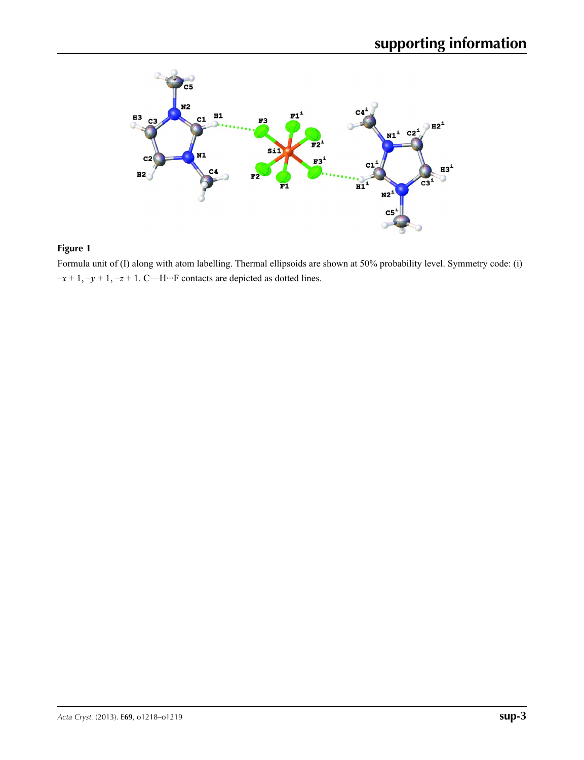

## **Figure 1**

Formula unit of (I) along with atom labelling. Thermal ellipsoids are shown at 50% probability level. Symmetry code: (i)  $-x+1$ ,  $-y+1$ ,  $-z+1$ . C—H<sup>···</sup>F contacts are depicted as dotted lines.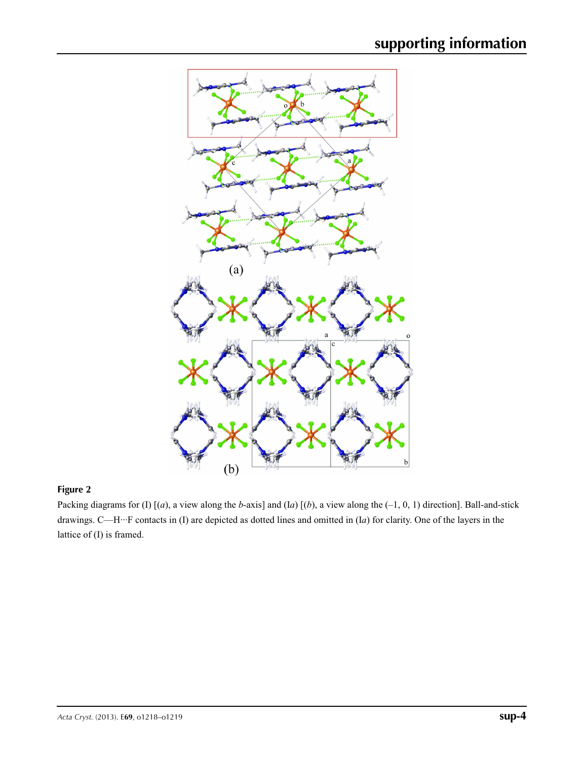

## **Figure 2**

Packing diagrams for (I) [(*a*), a view along the *b*-axis] and (I*a*) [(*b*), a view along the (–1, 0, 1) direction]. Ball-and-stick drawings. C—H···F contacts in (I) are depicted as dotted lines and omitted in (I*a*) for clarity. One of the layers in the lattice of (I) is framed.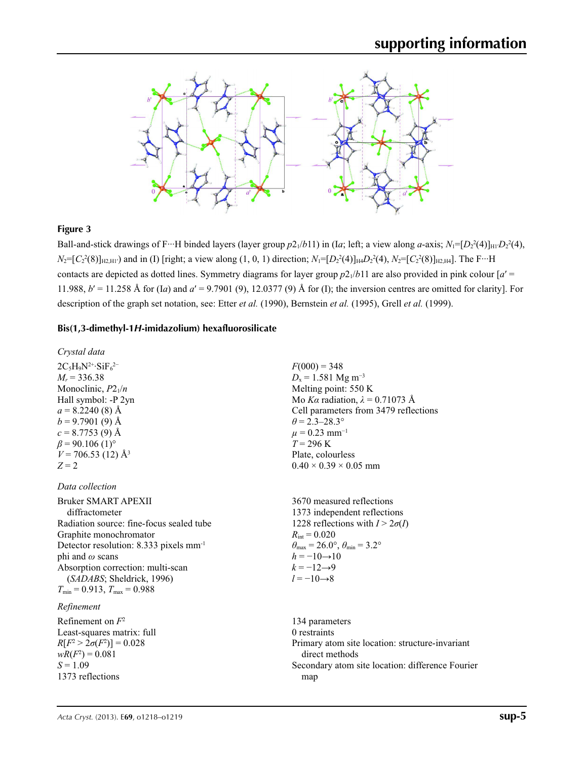

## **Figure 3**

Ball-and-stick drawings of F…H binded layers (layer group  $p2_1/b11$ ) in (Ia; left; a view along *a*-axis;  $N_1=[D_2^2(4)]_{\text{H1}}D_2^2(4)$ ,  $N_2 = [C_2^2(8)]_{H2,HI}$ ) and in (I) [right; a view along (1, 0, 1) direction;  $N_1 = [D_2^2(4)]_{H4}D_2^2(4)$ ,  $N_2 = [C_2^2(8)]_{H2,HI}$ . The F…H contacts are depicted as dotted lines. Symmetry diagrams for layer group  $p2_1/b11$  are also provided in pink colour  $a' =$ 11.988, *b*′ = 11.258 Å for (I*a*) and *a*′ = 9.7901 (9), 12.0377 (9) Å for (I); the inversion centres are omitted for clarity]. For description of the graph set notation, see: Etter *et al.* (1990), Bernstein *et al.* (1995), Grell *et al.* (1999).

### **Bis(1,3-dimethyl-1***H***-imidazolium) hexafluorosilicate**

*Crystal data*  $2C_5H_9N^{2+}\cdot SiF_6^{2-}$  $M_r$  = 336.38 Monoclinic,  $P2_1/n$ Hall symbol: -P 2yn  $a = 8.2240(8)$  Å  $b = 9.7901(9)$  Å  $c = 8.7753(9)$  Å  $\beta$  = 90.106 (1)<sup>o</sup>  $V = 706.53$  (12) Å<sup>3</sup>  $Z = 2$ 

*Data collection*

Bruker SMART APEXII diffractometer Radiation source: fine-focus sealed tube Graphite monochromator Detector resolution: 8.333 pixels mm-1 phi and *ω* scans Absorption correction: multi-scan (*SADABS*; Sheldrick, 1996)  $T_{\text{min}} = 0.913$ ,  $T_{\text{max}} = 0.988$ 

## *Refinement*

Refinement on *F*<sup>2</sup> Least-squares matrix: full  $R[F^2 > 2\sigma(F^2)] = 0.028$  $wR(F^2) = 0.081$  $S = 1.09$ 1373 reflections

 $F(000) = 348$  $D_x = 1.581$  Mg m<sup>-3</sup> Melting point: 550 K Mo *Kα* radiation,  $\lambda = 0.71073$  Å Cell parameters from 3479 reflections  $\theta$  = 2.3–28.3°  $\mu$  = 0.23 mm<sup>-1</sup>  $T = 296$  K Plate, colourless  $0.40 \times 0.39 \times 0.05$  mm

3670 measured reflections 1373 independent reflections 1228 reflections with  $I > 2\sigma(I)$  $R_{\text{int}} = 0.020$  $\theta_{\text{max}} = 26.0^{\circ}, \theta_{\text{min}} = 3.2^{\circ}$  $h = -10 \rightarrow 10$  $k = -12 \rightarrow 9$  $l = -10 \rightarrow 8$ 

134 parameters 0 restraints Primary atom site location: structure-invariant direct methods Secondary atom site location: difference Fourier map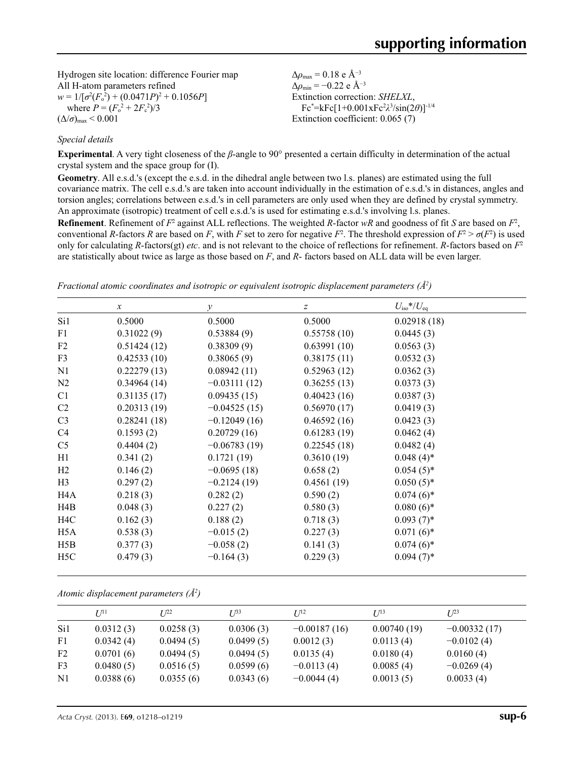Hydrogen site location: difference Fourier map All H-atom parameters refined  $w = 1/[\sigma^2 (F_o^2) + (0.0471P)^2 + 0.1056P]$ where  $P = (F_o^2 + 2F_c^2)/3$  $(\Delta/\sigma)_{\text{max}}$  < 0.001

*Special details*

 $\Delta\rho_{\text{max}} = 0.18$  e Å<sup>-3</sup>  $\Delta \rho_{\text{min}} = -0.22$  e Å<sup>-3</sup> Extinction correction: *SHELXL*, Fc\* =kFc[1+0.001xFc2 *λ*3 /sin(2*θ*)]-1/4 Extinction coefficient: 0.065 (7)

**Experimental**. A very tight closeness of the *β*-angle to 90° presented a certain difficulty in determination of the actual crystal system and the space group for (I).

**Geometry**. All e.s.d.'s (except the e.s.d. in the dihedral angle between two l.s. planes) are estimated using the full covariance matrix. The cell e.s.d.'s are taken into account individually in the estimation of e.s.d.'s in distances, angles and torsion angles; correlations between e.s.d.'s in cell parameters are only used when they are defined by crystal symmetry. An approximate (isotropic) treatment of cell e.s.d.'s is used for estimating e.s.d.'s involving l.s. planes.

**Refinement**. Refinement of  $F^2$  against ALL reflections. The weighted  $R$ -factor  $wR$  and goodness of fit  $S$  are based on  $F^2$ , conventional *R*-factors *R* are based on *F*, with *F* set to zero for negative  $F^2$ . The threshold expression of  $F^2 > \sigma(F^2)$  is used only for calculating *R*-factors(gt) *etc*. and is not relevant to the choice of reflections for refinement. *R*-factors based on *F*<sup>2</sup> are statistically about twice as large as those based on *F*, and *R*- factors based on ALL data will be even larger.

|  | Fractional atomic coordinates and isotropic or equivalent isotropic displacement parameters $(\AA^2)$ |  |  |  |  |  |
|--|-------------------------------------------------------------------------------------------------------|--|--|--|--|--|
|  |                                                                                                       |  |  |  |  |  |

|                  | $\mathcal{X}$ | $\mathcal{Y}$  | $\mathcal{Z}$ | $U_{\rm iso}*/U_{\rm eq}$ |  |
|------------------|---------------|----------------|---------------|---------------------------|--|
| Si1              | 0.5000        | 0.5000         | 0.5000        | 0.02918(18)               |  |
| F1               | 0.31022(9)    | 0.53884(9)     | 0.55758(10)   | 0.0445(3)                 |  |
| F2               | 0.51424(12)   | 0.38309(9)     | 0.63991(10)   | 0.0563(3)                 |  |
| F3               | 0.42533(10)   | 0.38065(9)     | 0.38175(11)   | 0.0532(3)                 |  |
| N1               | 0.22279(13)   | 0.08942(11)    | 0.52963(12)   | 0.0362(3)                 |  |
| N <sub>2</sub>   | 0.34964(14)   | $-0.03111(12)$ | 0.36255(13)   | 0.0373(3)                 |  |
| C <sub>1</sub>   | 0.31135(17)   | 0.09435(15)    | 0.40423(16)   | 0.0387(3)                 |  |
| C2               | 0.20313(19)   | $-0.04525(15)$ | 0.56970(17)   | 0.0419(3)                 |  |
| C <sub>3</sub>   | 0.28241(18)   | $-0.12049(16)$ | 0.46592(16)   | 0.0423(3)                 |  |
| C4               | 0.1593(2)     | 0.20729(16)    | 0.61283(19)   | 0.0462(4)                 |  |
| C <sub>5</sub>   | 0.4404(2)     | $-0.06783(19)$ | 0.22545(18)   | 0.0482(4)                 |  |
| H1               | 0.341(2)      | 0.1721(19)     | 0.3610(19)    | $0.048(4)$ *              |  |
| H2               | 0.146(2)      | $-0.0695(18)$  | 0.658(2)      | $0.054(5)$ *              |  |
| H <sub>3</sub>   | 0.297(2)      | $-0.2124(19)$  | 0.4561(19)    | $0.050(5)$ *              |  |
| H4A              | 0.218(3)      | 0.282(2)       | 0.590(2)      | $0.074(6)$ *              |  |
| H4B              | 0.048(3)      | 0.227(2)       | 0.580(3)      | $0.080(6)$ *              |  |
| H4C              | 0.162(3)      | 0.188(2)       | 0.718(3)      | $0.093(7)$ *              |  |
| H5A              | 0.538(3)      | $-0.015(2)$    | 0.227(3)      | $0.071(6)$ *              |  |
| H5B              | 0.377(3)      | $-0.058(2)$    | 0.141(3)      | $0.074(6)$ *              |  |
| H <sub>5</sub> C | 0.479(3)      | $-0.164(3)$    | 0.229(3)      | $0.094(7)$ *              |  |

|  |  |  | Atomic displacement parameters $(\AA^2)$ |  |
|--|--|--|------------------------------------------|--|
|--|--|--|------------------------------------------|--|

|                | $U^{11}$  | $I^{22}$  | $I^{\beta 3}$ | I/I <sup>2</sup> | I/13        | $L^{23}$       |  |
|----------------|-----------|-----------|---------------|------------------|-------------|----------------|--|
| Si1            | 0.0312(3) | 0.0258(3) | 0.0306(3)     | $-0.00187(16)$   | 0.00740(19) | $-0.00332(17)$ |  |
| F1             | 0.0342(4) | 0.0494(5) | 0.0499(5)     | 0.0012(3)        | 0.0113(4)   | $-0.0102(4)$   |  |
| F2             | 0.0701(6) | 0.0494(5) | 0.0494(5)     | 0.0135(4)        | 0.0180(4)   | 0.0160(4)      |  |
| F <sub>3</sub> | 0.0480(5) | 0.0516(5) | 0.0599(6)     | $-0.0113(4)$     | 0.0085(4)   | $-0.0269(4)$   |  |
| N <sub>1</sub> | 0.0388(6) | 0.0355(6) | 0.0343(6)     | $-0.0044(4)$     | 0.0013(5)   | 0.0033(4)      |  |
|                |           |           |               |                  |             |                |  |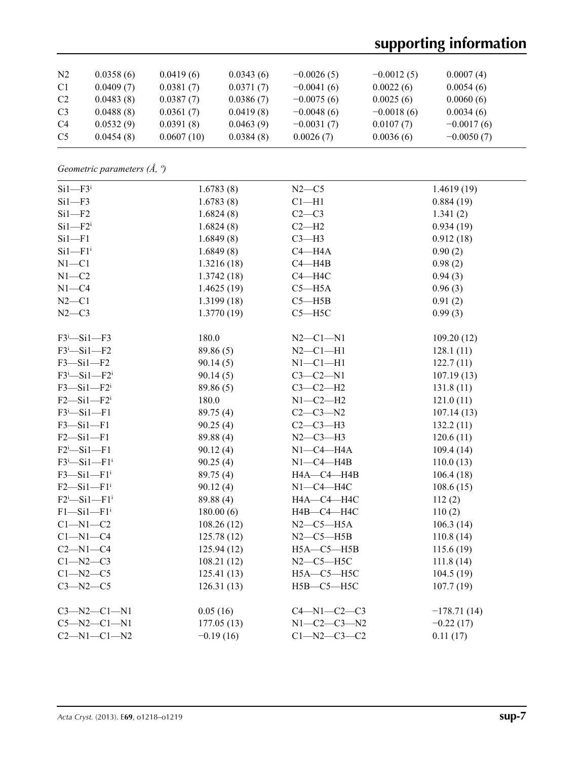# **supporting information**

| N <sub>2</sub> | 0.0358(6) | 0.0419(6)  | 0.0343(6) | $-0.0026(5)$ | $-0.0012(5)$ | 0.0007(4)    |
|----------------|-----------|------------|-----------|--------------|--------------|--------------|
| C1             | 0.0409(7) | 0.0381(7)  | 0.0371(7) | $-0.0041(6)$ | 0.0022(6)    | 0.0054(6)    |
| C <sub>2</sub> | 0.0483(8) | 0.0387(7)  | 0.0386(7) | $-0.0075(6)$ | 0.0025(6)    | 0.0060(6)    |
| C <sub>3</sub> | 0.0488(8) | 0.0361(7)  | 0.0419(8) | $-0.0048(6)$ | $-0.0018(6)$ | 0.0034(6)    |
| C <sub>4</sub> | 0.0532(9) | 0.0391(8)  | 0.0463(9) | $-0.0031(7)$ | 0.0107(7)    | $-0.0017(6)$ |
| C <sub>5</sub> | 0.0454(8) | 0.0607(10) | 0.0384(8) | 0.0026(7)    | 0.0036(6)    | $-0.0050(7)$ |

*Geometric parameters (Å, º)*

| $Si1 - F3$ <sup>i</sup>                   | 1.6783(8)   | $N2-C5$             | 1.4619(19)    |
|-------------------------------------------|-------------|---------------------|---------------|
| $Si1 - F3$                                | 1.6783(8)   | $C1 - H1$           | 0.884(19)     |
| $Si1 - F2$                                | 1.6824(8)   | $C2-C3$             | 1.341(2)      |
| $Si1 - F2$ <sup>i</sup>                   | 1.6824(8)   | $C2-H2$             | 0.934(19)     |
| $Si1 - F1$                                | 1.6849(8)   | $C3-H3$             | 0.912(18)     |
| $Si1-F1$ <sup>i</sup>                     | 1.6849(8)   | $C4 - H4A$          | 0.90(2)       |
| $N1 - C1$                                 | 1.3216 (18) | $C4 - H4B$          | 0.98(2)       |
| $N1 - C2$                                 | 1.3742(18)  | $C4 - H4C$          | 0.94(3)       |
| $N1 - C4$                                 | 1.4625(19)  | $C5 - H5A$          | 0.96(3)       |
| $N2-C1$                                   | 1.3199(18)  | $C5 - H5B$          | 0.91(2)       |
| $N2-C3$                                   | 1.3770(19)  | $C5 - H5C$          | 0.99(3)       |
| $F3$ <sup>i</sup> -Si1-F3                 | 180.0       | $N2 - C1 - N1$      | 109.20(12)    |
| $F3$ <sup>i</sup> -Sil-F2                 | 89.86 (5)   | $N2 - C1 - H1$      | 128.1(11)     |
| $F3 - Si1 - F2$                           | 90.14(5)    | $N1-C1-H1$          | 122.7(11)     |
| $F3$ <sup>i</sup> -Sil- $F2$ <sup>i</sup> | 90.14(5)    | $C3-C2-N1$          | 107.19(13)    |
| $F3 - Si1 - F2$ <sup>i</sup>              | 89.86 (5)   | $C3-C2-H2$          | 131.8(11)     |
| $F2-Si1-F2$ <sup>i</sup>                  | 180.0       | $N1-C2-H2$          | 121.0(11)     |
| $F3$ <sup>i</sup> -Si1-F1                 | 89.75 (4)   | $C2 - C3 - N2$      | 107.14(13)    |
| $F3 - Si1 - F1$                           | 90.25(4)    | $C2-C3-H3$          | 132.2(11)     |
| $F2-Si1-F1$                               | 89.88 (4)   | $N2-C3-H3$          | 120.6(11)     |
| $F2$ <sup>i</sup> -Si1-F1                 | 90.12(4)    | $N1-C4-H4A$         | 109.4(14)     |
| $F3^i$ -Sil- $F1^i$                       | 90.25(4)    | $N1-C4-H4B$         | 110.0(13)     |
| $F3 - Si1 - F1$ <sup>i</sup>              | 89.75 (4)   | H4A-C4-H4B          | 106.4(18)     |
| $F2-Si1-F1$ <sup>i</sup>                  | 90.12(4)    | $N1-C4-H4C$         | 108.6(15)     |
| $F2^i$ -Sil-Fl <sup>i</sup>               | 89.88 (4)   | H4A-C4-H4C          | 112(2)        |
| $F1 - Si1 - F1$ <sup>i</sup>              | 180.00(6)   | H4B-C4-H4C          | 110(2)        |
| $C1 - N1 - C2$                            | 108.26(12)  | $N2-C5-H5A$         | 106.3(14)     |
| $Cl-M1-C4$                                | 125.78(12)  | $N2-C5-H5B$         | 110.8(14)     |
| $C2 - N1 - C4$                            | 125.94(12)  | $H5A - C5 - H5B$    | 115.6(19)     |
| $C1 - N2 - C3$                            | 108.21(12)  | $N2-C5-H5C$         | 111.8(14)     |
| $C1 - N2 - C5$                            | 125.41(13)  | $H5A - C5 - H5C$    | 104.5(19)     |
| $C3 - N2 - C5$                            | 126.31(13)  | $H5B - C5 - H5C$    | 107.7(19)     |
| $C3 - N2 - C1 - N1$                       | 0.05(16)    | $C4 - N1 - C2 - C3$ | $-178.71(14)$ |
| $C5 - N2 - C1 - N1$                       | 177.05(13)  | $N1 - C2 - C3 - N2$ | $-0.22(17)$   |
| $C2 - N1 - C1 - N2$                       | $-0.19(16)$ | $C1 - N2 - C3 - C2$ | 0.11(17)      |